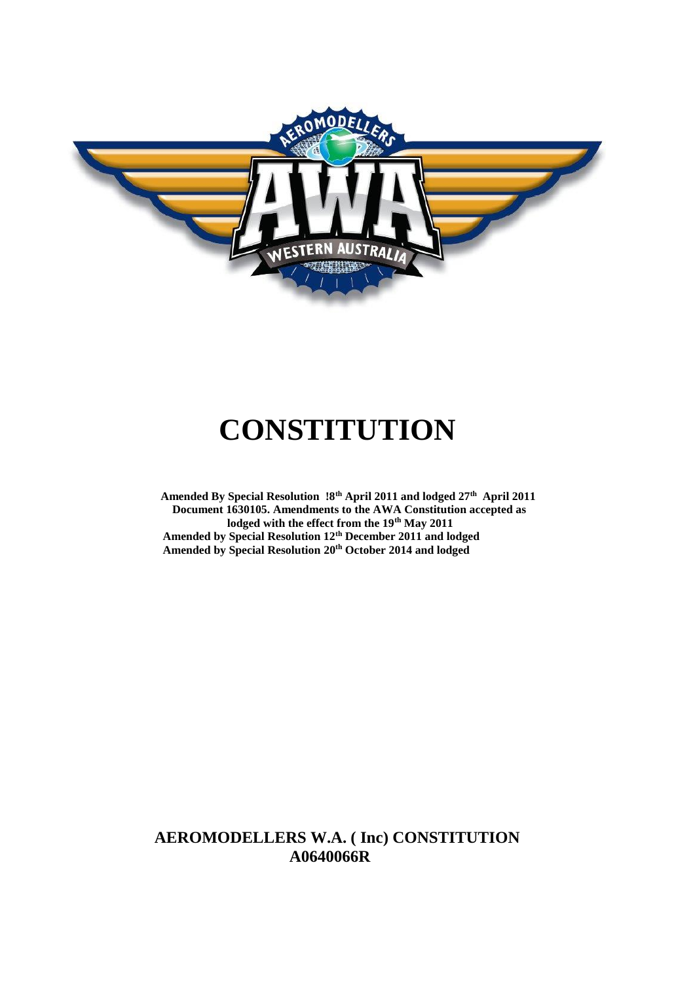

# **CONSTITUTION**

 **Amended By Special Resolution !8th April 2011 and lodged 27th April 2011 Document 1630105. Amendments to the AWA Constitution accepted as lodged with the effect from the 19th May 2011 Amended by Special Resolution 12th December 2011 and lodged Amended by Special Resolution 20th October 2014 and lodged**

# **AEROMODELLERS W.A. ( Inc) CONSTITUTION A0640066R**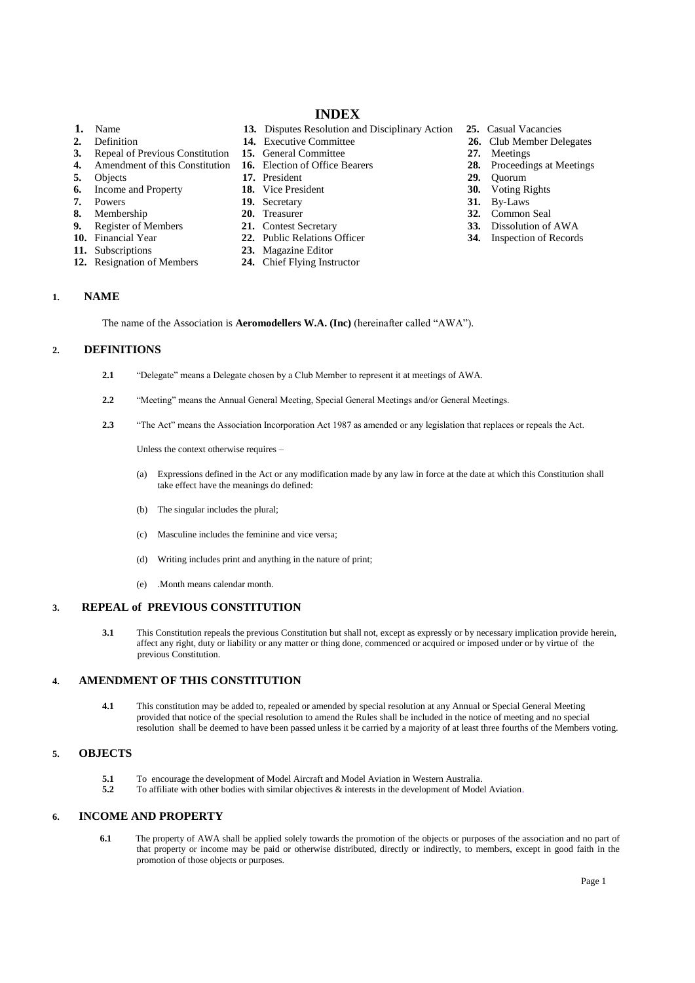# **INDEX**

- 
- 
- **3.** Repeal of Previous Constitution **15.** General Committee **27.** Meetings **27.** Amendment of this Constitution **16.** Election of Office Bearers **28.** Proceedin
- **4.** Amendment of this Constitution **16.** Election of Office Bearers **28.** Proceedings at Meetings
- **5.** Objects **17.** President **29.** Quorum
- **6.** Income and Property **18.** Vice President **30.** Voting Rights **7.** Powers **19.** Secretary **31.** By-Laws
- 
- 
- **9.** Register of Members **21.** Contest Secretary **33.** Dissolution of AWA
- 
- 
- 
- **1.** Name **13.** Disputes Resolution and Disciplinary Action **25.** Casual Vacancies<br> **26.** Club Member De **14.** Executive Committee **26.** Club Member De
	-
	-
	-
	-
	-
	-
	-
- **10.** Financial Year **22.** Public Relations Officer **34.** Inspection of Records
	- 23. Magazine Editor
- **12.** Resignation of Members **24.** Chief Flying Instructor
- 
- **2.** Definition **14.** Executive Committee **26.** Club Member Delegates
	-
	-
	-
	-
	-
- **7.** Powers **19.** Secretary **19.** Secretary **31.** By-Laws **8.** Membership **20.** Treasurer **32.** Common **82.** Common Seal
	-
	-

# **1. NAME**

The name of the Association is **Aeromodellers W.A. (Inc)** (hereinafter called "AWA").

# **2. DEFINITIONS**

- **2.1** "Delegate" means a Delegate chosen by a Club Member to represent it at meetings of AWA.
- **2.2** "Meeting" means the Annual General Meeting, Special General Meetings and/or General Meetings.
- **2.3** "The Act" means the Association Incorporation Act 1987 as amended or any legislation that replaces or repeals the Act.

Unless the context otherwise requires –

- (a) Expressions defined in the Act or any modification made by any law in force at the date at which this Constitution shall take effect have the meanings do defined:
- (b) The singular includes the plural;
- (c) Masculine includes the feminine and vice versa;
- (d) Writing includes print and anything in the nature of print;
- (e) .Month means calendar month.

#### **3. REPEAL of PREVIOUS CONSTITUTION**

**3.1** This Constitution repeals the previous Constitution but shall not, except as expressly or by necessary implication provide herein, affect any right, duty or liability or any matter or thing done, commenced or acquired or imposed under or by virtue of the previous Constitution.

#### **4. AMENDMENT OF THIS CONSTITUTION**

**4.1** This constitution may be added to, repealed or amended by special resolution at any Annual or Special General Meeting provided that notice of the special resolution to amend the Rules shall be included in the notice of meeting and no special resolution shall be deemed to have been passed unless it be carried by a majority of at least three fourths of the Members voting.

#### **5. OBJECTS**

- **5.1** To encourage the development of Model Aircraft and Model Aviation in Western Australia.
- **5.2** To affiliate with other bodies with similar objectives & interests in the development of Model Aviation.

# **6. INCOME AND PROPERTY**

**6.1** The property of AWA shall be applied solely towards the promotion of the objects or purposes of the association and no part of that property or income may be paid or otherwise distributed, directly or indirectly, to members, except in good faith in the promotion of those objects or purposes.

- 
-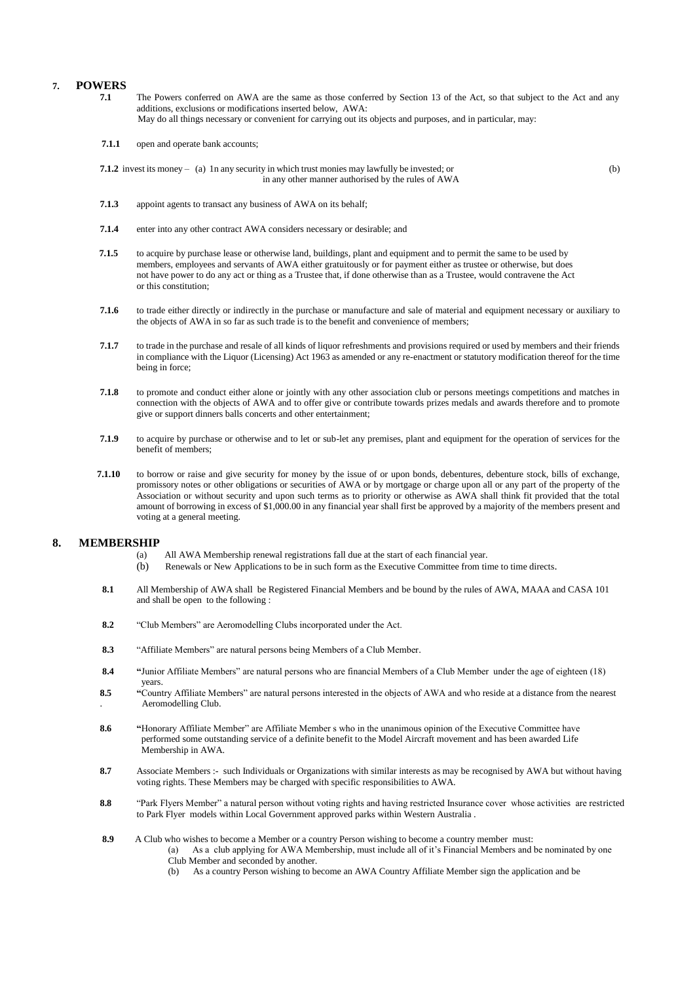# **7. POWERS**

- **7.1** The Powers conferred on AWA are the same as those conferred by Section 13 of the Act, so that subject to the Act and any additions, exclusions or modifications inserted below, AWA: May do all things necessary or convenient for carrying out its objects and purposes, and in particular, may:
- **7.1.1** open and operate bank accounts;
- **7.1.2** invest its money (a) 1n any security in which trust monies may lawfully be invested; or (b) in any other manner authorised by the rules of AWA
- **7.1.3** appoint agents to transact any business of AWA on its behalf;
- **7.1.4** enter into any other contract AWA considers necessary or desirable; and
- **7.1.5** to acquire by purchase lease or otherwise land, buildings, plant and equipment and to permit the same to be used by members, employees and servants of AWA either gratuitously or for payment either as trustee or otherwise, but does not have power to do any act or thing as a Trustee that, if done otherwise than as a Trustee, would contravene the Act or this constitution;
- **7.1.6** to trade either directly or indirectly in the purchase or manufacture and sale of material and equipment necessary or auxiliary to the objects of AWA in so far as such trade is to the benefit and convenience of members;
- **7.1.7** to trade in the purchase and resale of all kinds of liquor refreshments and provisions required or used by members and their friends in compliance with the Liquor (Licensing) Act 1963 as amended or any re-enactment or statutory modification thereof for the time being in force;
- **7.1.8** to promote and conduct either alone or jointly with any other association club or persons meetings competitions and matches in connection with the objects of AWA and to offer give or contribute towards prizes medals and awards therefore and to promote give or support dinners balls concerts and other entertainment;
- **7.1.9** to acquire by purchase or otherwise and to let or sub-let any premises, plant and equipment for the operation of services for the benefit of members;
- **7.1.10** to borrow or raise and give security for money by the issue of or upon bonds, debentures, debenture stock, bills of exchange, promissory notes or other obligations or securities of AWA or by mortgage or charge upon all or any part of the property of the Association or without security and upon such terms as to priority or otherwise as AWA shall think fit provided that the total amount of borrowing in excess of \$1,000.00 in any financial year shall first be approved by a majority of the members present and voting at a general meeting.

#### **8. MEMBERSHIP**

- (a) All AWA Membership renewal registrations fall due at the start of each financial year.
- (b) Renewals or New Applications to be in such form as the Executive Committee from time to time directs.
- **8.1** All Membership of AWA shall be Registered Financial Members and be bound by the rules of AWA, MAAA and CASA 101 and shall be open to the following :
- **8.2** "Club Members" are Aeromodelling Clubs incorporated under the Act.
- **8.3** "Affiliate Members" are natural persons being Members of a Club Member.
- **8.4 "**Junior Affiliate Members" are natural persons who are financial Members of a Club Member under the age of eighteen (18) years.
- **8.5 "**Country Affiliate Members" are natural persons interested in the objects of AWA and who reside at a distance from the nearest . Aeromodelling Club.
- **8.6 "**Honorary Affiliate Member" are Affiliate Member s who in the unanimous opinion of the Executive Committee have performed some outstanding service of a definite benefit to the Model Aircraft movement and has been awarded Life Membership in AWA.
- **8.7** Associate Members :- such Individuals or Organizations with similar interests as may be recognised by AWA but without having voting rights. These Members may be charged with specific responsibilities to AWA.
- **8.8** "Park Flyers Member" a natural person without voting rights and having restricted Insurance cover whose activities are restricted to Park Flyer models within Local Government approved parks within Western Australia .
- **8.9** A Club who wishes to become a Member or a country Person wishing to become a country member must:
	- (a) As a club applying for AWA Membership, must include all of it's Financial Members and be nominated by one Club Member and seconded by another.
		- (b) As a country Person wishing to become an AWA Country Affiliate Member sign the application and be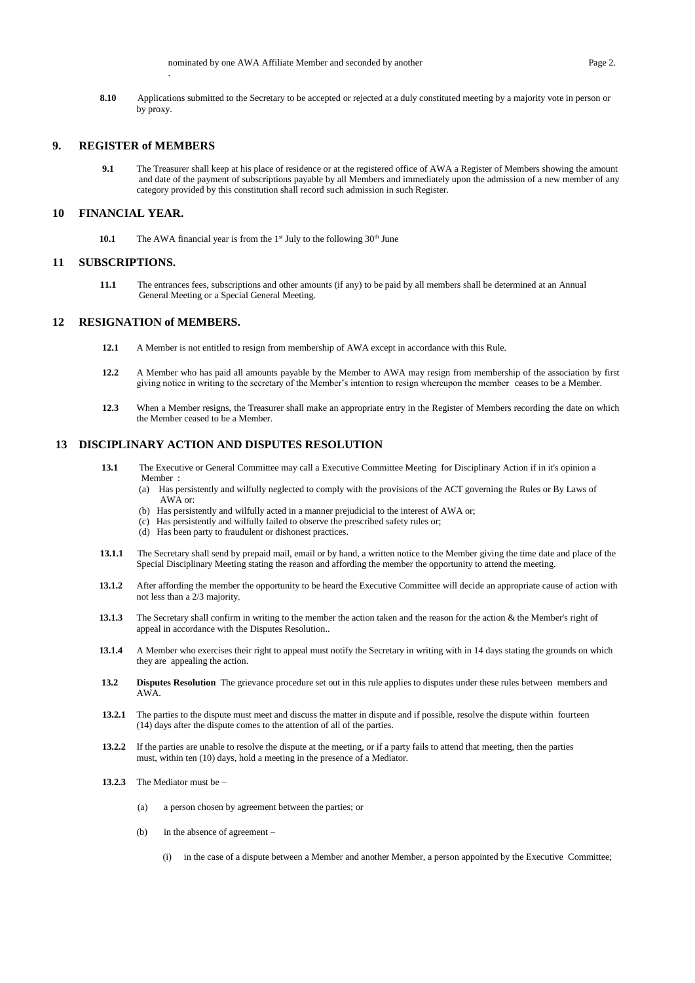**8.10** Applications submitted to the Secretary to be accepted or rejected at a duly constituted meeting by a majority vote in person or by proxy.

#### **9. REGISTER of MEMBERS**

.

**9.1** The Treasurer shall keep at his place of residence or at the registered office of AWA a Register of Members showing the amount and date of the payment of subscriptions payable by all Members and immediately upon the admission of a new member of any category provided by this constitution shall record such admission in such Register.

#### **10 FINANCIAL YEAR.**

**10.1** The AWA financial year is from the  $1<sup>st</sup>$  July to the following  $30<sup>th</sup>$  June

#### **11 SUBSCRIPTIONS.**

**11.1** The entrances fees, subscriptions and other amounts (if any) to be paid by all members shall be determined at an Annual General Meeting or a Special General Meeting.

#### **12 RESIGNATION of MEMBERS.**

- **12.1** A Member is not entitled to resign from membership of AWA except in accordance with this Rule.
- **12.2** A Member who has paid all amounts payable by the Member to AWA may resign from membership of the association by first giving notice in writing to the secretary of the Member's intention to resign whereupon the member ceases to be a Member.
- 12.3 When a Member resigns, the Treasurer shall make an appropriate entry in the Register of Members recording the date on which the Member ceased to be a Member.

#### **13 DISCIPLINARY ACTION AND DISPUTES RESOLUTION**

- **13.1** The Executive or General Committee may call a Executive Committee Meeting for Disciplinary Action if in it's opinion a Member :
	- (a) Has persistently and wilfully neglected to comply with the provisions of the ACT governing the Rules or By Laws of AWA or:
	- (b) Has persistently and wilfully acted in a manner prejudicial to the interest of AWA or;
	- (c) Has persistently and wilfully failed to observe the prescribed safety rules or;
	- (d) Has been party to fraudulent or dishonest practices.
- **13.1.1** The Secretary shall send by prepaid mail, email or by hand, a written notice to the Member giving the time date and place of the Special Disciplinary Meeting stating the reason and affording the member the opportunity to attend the meeting.
- **13.1.2** After affording the member the opportunity to be heard the Executive Committee will decide an appropriate cause of action with not less than a 2/3 majority.
- **13.1.3** The Secretary shall confirm in writing to the member the action taken and the reason for the action & the Member's right of appeal in accordance with the Disputes Resolution..
- **13.1.4** A Member who exercises their right to appeal must notify the Secretary in writing with in 14 days stating the grounds on which they are appealing the action.
- **13.2 Disputes Resolution** The grievance procedure set out in this rule applies to disputes under these rules between members and AWA.
- **13.2.1** The parties to the dispute must meet and discuss the matter in dispute and if possible, resolve the dispute within fourteen (14) days after the dispute comes to the attention of all of the parties.
- **13.2.2** If the parties are unable to resolve the dispute at the meeting, or if a party fails to attend that meeting, then the parties must, within ten (10) days, hold a meeting in the presence of a Mediator.
- **13.2.3** The Mediator must be
	- (a) a person chosen by agreement between the parties; or
	- (b) in the absence of agreement
		- (i) in the case of a dispute between a Member and another Member, a person appointed by the Executive Committee;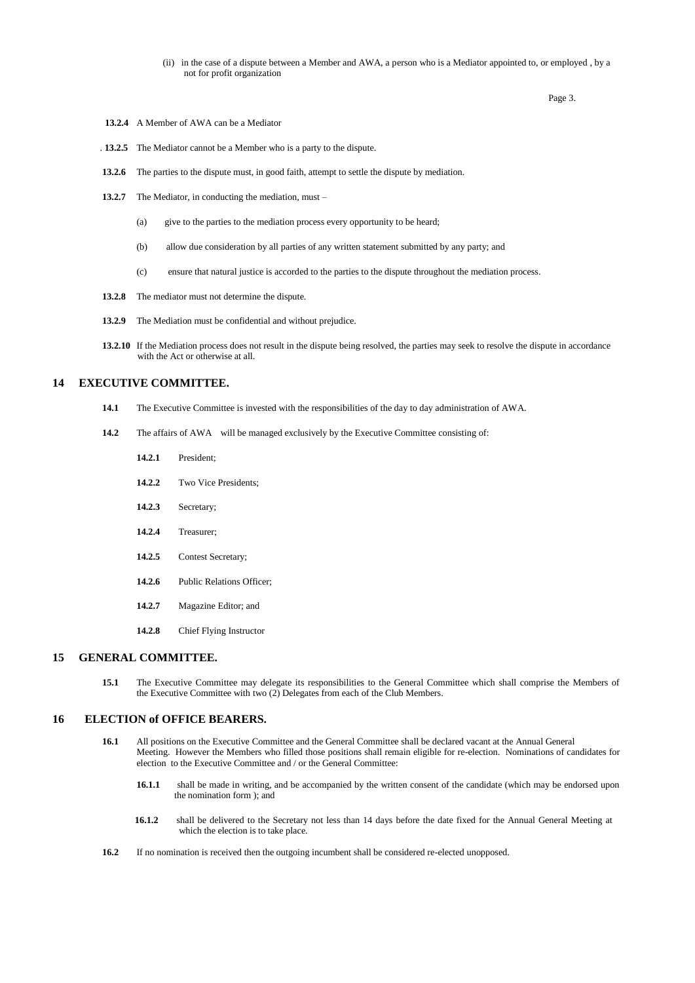(ii) in the case of a dispute between a Member and AWA, a person who is a Mediator appointed to, or employed , by a not for profit organization

Page 3.

- **13.2.4** A Member of AWA can be a Mediator
- . **13.2.5** The Mediator cannot be a Member who is a party to the dispute.
- **13.2.6** The parties to the dispute must, in good faith, attempt to settle the dispute by mediation.
- **13.2.7** The Mediator, in conducting the mediation, must
	- (a) give to the parties to the mediation process every opportunity to be heard;
	- (b) allow due consideration by all parties of any written statement submitted by any party; and
	- (c) ensure that natural justice is accorded to the parties to the dispute throughout the mediation process.
- **13.2.8** The mediator must not determine the dispute.
- **13.2.9** The Mediation must be confidential and without prejudice.
- **13.2.10** If the Mediation process does not result in the dispute being resolved, the parties may seek to resolve the dispute in accordance with the Act or otherwise at all.

# **14 EXECUTIVE COMMITTEE.**

- **14.1** The Executive Committee is invested with the responsibilities of the day to day administration of AWA.
- **14.2** The affairs of AWA will be managed exclusively by the Executive Committee consisting of:
	- **14.2.1** President;
	- **14.2.2** Two Vice Presidents;
	- **14.2.3** Secretary;
	- **14.2.4** Treasurer;
	- **14.2.5** Contest Secretary;
	- 14.2.6 Public Relations Officer;
	- **14.2.7** Magazine Editor; and
	- **14.2.8** Chief Flying Instructor

#### **15 GENERAL COMMITTEE.**

15.1 The Executive Committee may delegate its responsibilities to the General Committee which shall comprise the Members of the Executive Committee with two (2) Delegates from each of the Club Members.

#### **16 ELECTION of OFFICE BEARERS.**

- 16.1 All positions on the Executive Committee and the General Committee shall be declared vacant at the Annual General Meeting. However the Members who filled those positions shall remain eligible for re-election. Nominations of candidates for election to the Executive Committee and / or the General Committee:
	- **16.1.1** shall be made in writing, and be accompanied by the written consent of the candidate (which may be endorsed upon the nomination form ); and
	- **16.1.2** shall be delivered to the Secretary not less than 14 days before the date fixed for the Annual General Meeting at which the election is to take place.
- **16.2** If no nomination is received then the outgoing incumbent shall be considered re-elected unopposed.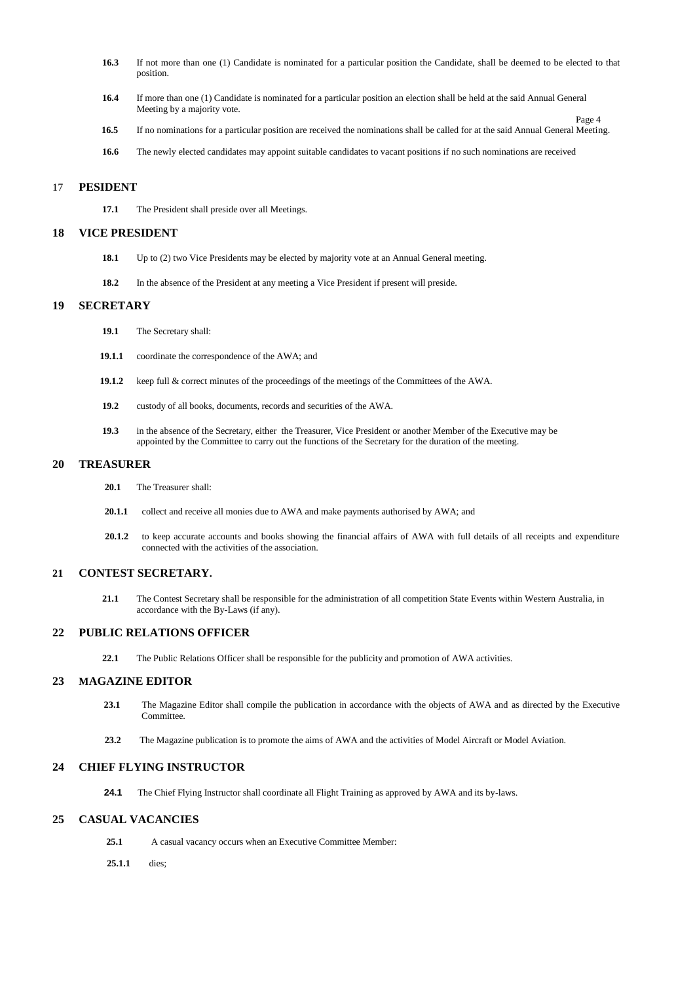- **16.3** If not more than one (1) Candidate is nominated for a particular position the Candidate, shall be deemed to be elected to that position.
- **16.4** If more than one (1) Candidate is nominated for a particular position an election shall be held at the said Annual General Meeting by a majority vote.
- Page 4 **16.5** If no nominations for a particular position are received the nominations shall be called for at the said Annual General Meeting.
- **16.6** The newly elected candidates may appoint suitable candidates to vacant positions if no such nominations are received

#### 17 **PESIDENT**

**17.1** The President shall preside over all Meetings.

#### **18 VICE PRESIDENT**

- **18.1** Up to (2) two Vice Presidents may be elected by majority vote at an Annual General meeting.
- 18.2 In the absence of the President at any meeting a Vice President if present will preside.

#### **19 SECRETARY**

- **19.1** The Secretary shall:
- **19.1.1** coordinate the correspondence of the AWA; and
- 19.1.2 keep full & correct minutes of the proceedings of the meetings of the Committees of the AWA.
- **19.2** custody of all books, documents, records and securities of the AWA.
- **19.3** in the absence of the Secretary, either the Treasurer, Vice President or another Member of the Executive may be appointed by the Committee to carry out the functions of the Secretary for the duration of the meeting.

#### **20 TREASURER**

- **20.1** The Treasurer shall:
- **20.1.1** collect and receive all monies due to AWA and make payments authorised by AWA; and
- **20.1.2** to keep accurate accounts and books showing the financial affairs of AWA with full details of all receipts and expenditure connected with the activities of the association.

#### **21 CONTEST SECRETARY.**

**21.1** The Contest Secretary shall be responsible for the administration of all competition State Events within Western Australia, in accordance with the By-Laws (if any).

#### **22 PUBLIC RELATIONS OFFICER**

**22.1** The Public Relations Officer shall be responsible for the publicity and promotion of AWA activities.

# **23 MAGAZINE EDITOR**

- **23.1** The Magazine Editor shall compile the publication in accordance with the objects of AWA and as directed by the Executive Committee.
- **23.2** The Magazine publication is to promote the aims of AWA and the activities of Model Aircraft or Model Aviation.

#### **24 CHIEF FLYING INSTRUCTOR**

**24.1** The Chief Flying Instructor shall coordinate all Flight Training as approved by AWA and its by-laws.

## **25 CASUAL VACANCIES**

- **25.1** A casual vacancy occurs when an Executive Committee Member:
- **25.1.1** dies;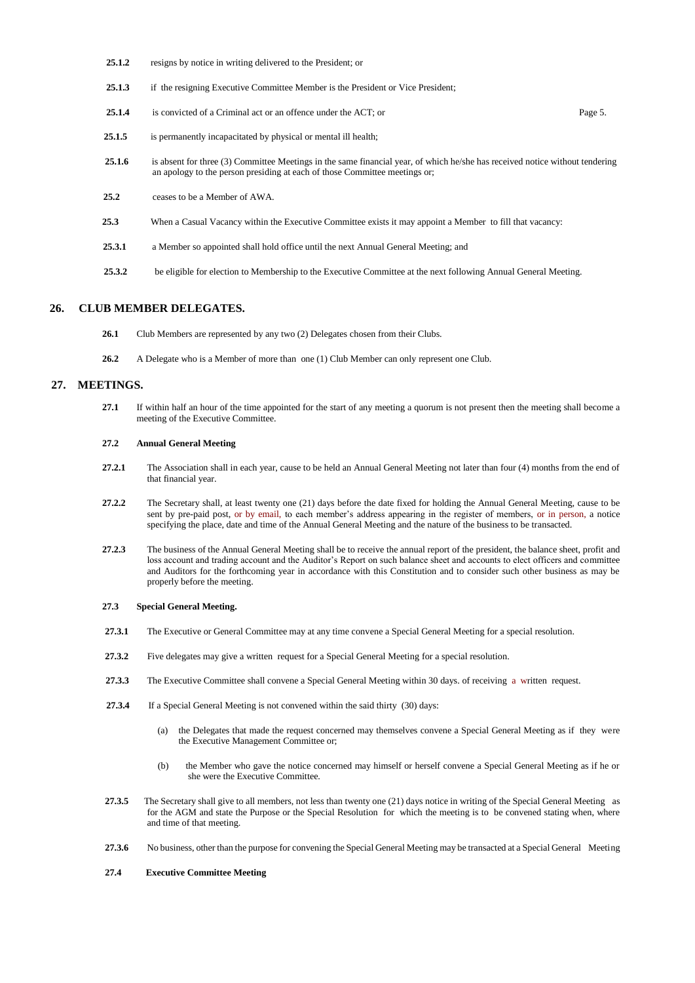- 25.1.2 resigns by notice in writing delivered to the President; or
- 25.1.3 if the resigning Executive Committee Member is the President or Vice President;
- 25.1.4 is convicted of a Criminal act or an offence under the ACT; or Page 5.
- **25.1.5** is permanently incapacitated by physical or mental ill health;
- **25.1.6** is absent for three (3) Committee Meetings in the same financial year, of which he/she has received notice without tendering an apology to the person presiding at each of those Committee meetings or;
- **25.2** ceases to be a Member of AWA.
- **25.3** When a Casual Vacancy within the Executive Committee exists it may appoint a Member to fill that vacancy:
- 25.3.1 a Member so appointed shall hold office until the next Annual General Meeting; and
- **25.3.2** be eligible for election to Membership to the Executive Committee at the next following Annual General Meeting.

#### **26. CLUB MEMBER DELEGATES.**

- **26.1** Club Members are represented by any two (2) Delegates chosen from their Clubs.
- **26.2** A Delegate who is a Member of more than one (1) Club Member can only represent one Club.

#### **27. MEETINGS.**

**27.1** If within half an hour of the time appointed for the start of any meeting a quorum is not present then the meeting shall become a meeting of the Executive Committee.

#### **27.2 Annual General Meeting**

- **27.2.1** The Association shall in each year, cause to be held an Annual General Meeting not later than four (4) months from the end of that financial year.
- **27.2.2** The Secretary shall, at least twenty one (21) days before the date fixed for holding the Annual General Meeting, cause to be sent by pre-paid post, or by email, to each member's address appearing in the register of members, or in person, a notice specifying the place, date and time of the Annual General Meeting and the nature of the business to be transacted.
- **27.2.3** The business of the Annual General Meeting shall be to receive the annual report of the president, the balance sheet, profit and loss account and trading account and the Auditor's Report on such balance sheet and accounts to elect officers and committee and Auditors for the forthcoming year in accordance with this Constitution and to consider such other business as may be properly before the meeting.

#### **27.3 Special General Meeting.**

- **27.3.1** The Executive or General Committee may at any time convene a Special General Meeting for a special resolution.
- **27.3.2** Five delegates may give a written request for a Special General Meeting for a special resolution.
- **27.3.3** The Executive Committee shall convene a Special General Meeting within 30 days. of receiving a written request.
- **27.3.4** If a Special General Meeting is not convened within the said thirty (30) days:
	- (a) the Delegates that made the request concerned may themselves convene a Special General Meeting as if they were the Executive Management Committee or;
	- (b) the Member who gave the notice concerned may himself or herself convene a Special General Meeting as if he or she were the Executive Committee.
- **27.3.5** The Secretary shall give to all members, not less than twenty one (21) days notice in writing of the Special General Meeting as for the AGM and state the Purpose or the Special Resolution for which the meeting is to be convened stating when, where and time of that meeting.
- **27.3.6** No business, other than the purpose for convening the Special General Meeting may be transacted at a Special General Meeting

#### **27.4 Executive Committee Meeting**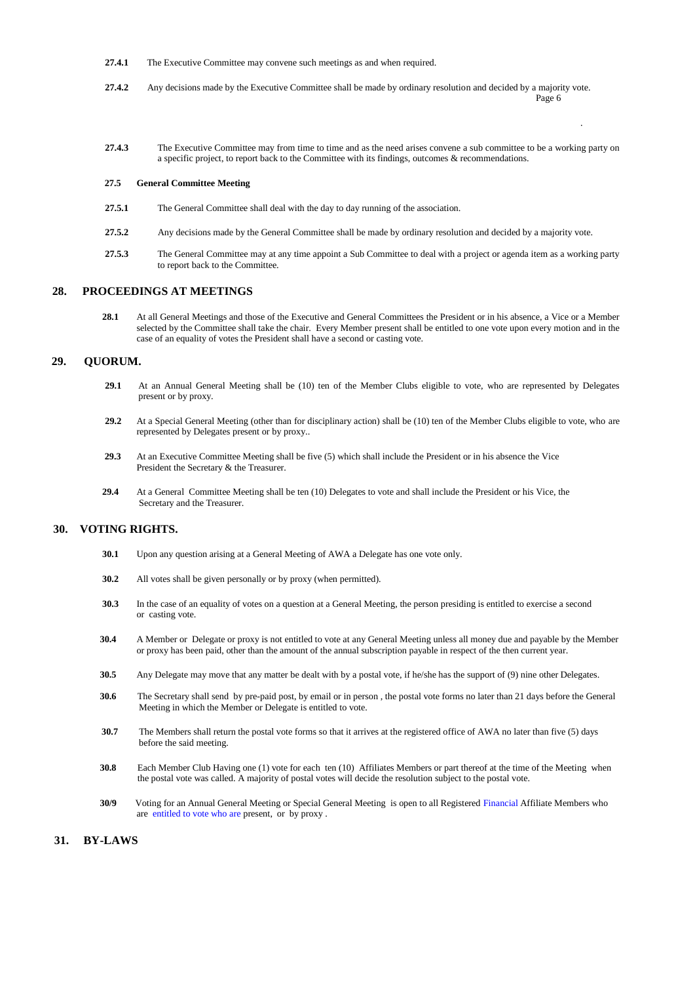- **27.4.1** The Executive Committee may convene such meetings as and when required.
- **27.4.2** Any decisions made by the Executive Committee shall be made by ordinary resolution and decided by a majority vote. Page 6
- **27.4.3** The Executive Committee may from time to time and as the need arises convene a sub committee to be a working party on a specific project, to report back to the Committee with its findings, outcomes & recommendations.

.

#### **27.5 General Committee Meeting**

- **27.5.1** The General Committee shall deal with the day to day running of the association.
- **27.5.2** Any decisions made by the General Committee shall be made by ordinary resolution and decided by a majority vote.
- **27.5.3** The General Committee may at any time appoint a Sub Committee to deal with a project or agenda item as a working party to report back to the Committee.

#### **28. PROCEEDINGS AT MEETINGS**

**28.1** At all General Meetings and those of the Executive and General Committees the President or in his absence, a Vice or a Member selected by the Committee shall take the chair. Every Member present shall be entitled to one vote upon every motion and in the case of an equality of votes the President shall have a second or casting vote.

# **29. QUORUM.**

- 29.1 At an Annual General Meeting shall be (10) ten of the Member Clubs eligible to vote, who are represented by Delegates present or by proxy.
- 29.2 At a Special General Meeting (other than for disciplinary action) shall be (10) ten of the Member Clubs eligible to vote, who are represented by Delegates present or by proxy..
- **29.3** At an Executive Committee Meeting shall be five (5) which shall include the President or in his absence the Vice President the Secretary & the Treasurer.
- **29.4** At a General Committee Meeting shall be ten (10) Delegates to vote and shall include the President or his Vice, the Secretary and the Treasurer.

# **30. VOTING RIGHTS.**

- **30.1** Upon any question arising at a General Meeting of AWA a Delegate has one vote only.
- **30.2** All votes shall be given personally or by proxy (when permitted).
- **30.3** In the case of an equality of votes on a question at a General Meeting, the person presiding is entitled to exercise a second or casting vote.
- **30.4** A Member or Delegate or proxy is not entitled to vote at any General Meeting unless all money due and payable by the Member or proxy has been paid, other than the amount of the annual subscription payable in respect of the then current year.
- **30.5** Any Delegate may move that any matter be dealt with by a postal vote, if he/she has the support of (9) nine other Delegates.
- **30.6** The Secretary shall send by pre-paid post, by email or in person , the postal vote forms no later than 21 days before the General Meeting in which the Member or Delegate is entitled to vote.
- **30.7** The Members shall return the postal vote forms so that it arrives at the registered office of AWA no later than five (5) days before the said meeting.
- **30.8** Each Member Club Having one (1) vote for each ten (10) Affiliates Members or part thereof at the time of the Meeting when the postal vote was called. A majority of postal votes will decide the resolution subject to the postal vote.
- **30/9** Voting for an Annual General Meeting or Special General Meeting is open to all Registered Financial Affiliate Members who are entitled to vote who are present, or by proxy .

# **31. BY-LAWS**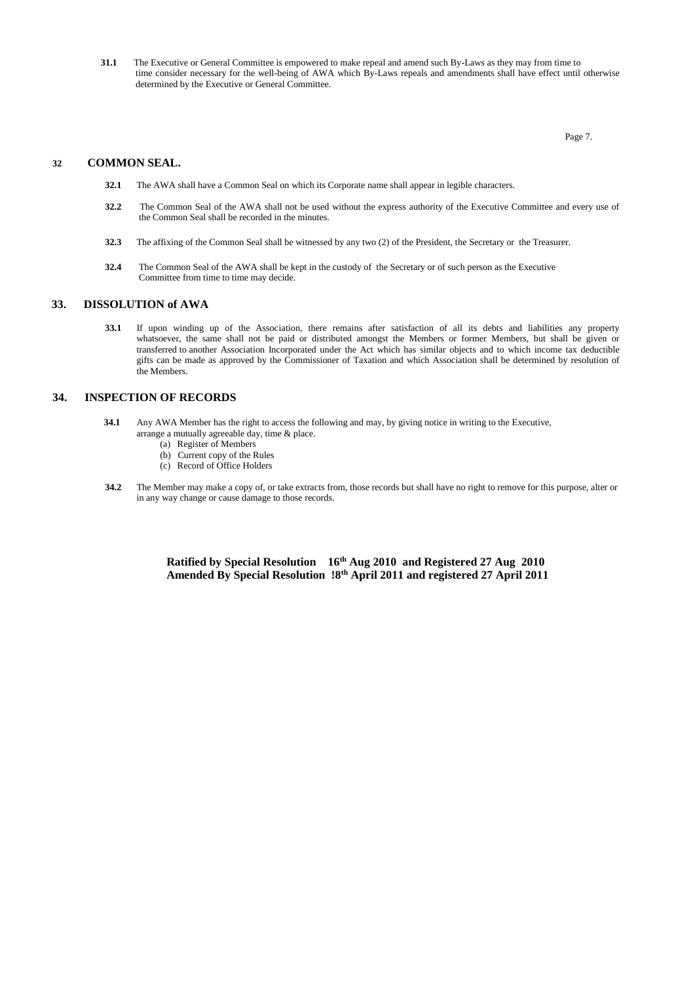**31.1** The Executive or General Committee is empowered to make repeal and amend such By-Laws as they may from time to time consider necessary for the well-being of AWA which By-Laws repeals and amendments shall have effect until otherwise determined by the Executive or General Committee.

**Page 7.** 

# **32 COMMON SEAL.**

- **32.1** The AWA shall have a Common Seal on which its Corporate name shall appear in legible characters.
- **32.2** The Common Seal of the AWA shall not be used without the express authority of the Executive Committee and every use of the Common Seal shall be recorded in the minutes.
- **32.3** The affixing of the Common Seal shall be witnessed by any two (2) of the President, the Secretary or the Treasurer.
- **32.4** The Common Seal of the AWA shall be kept in the custody of the Secretary or of such person as the Executive Committee from time to time may decide.

#### **33. DISSOLUTION of AWA**

**33.1** If upon winding up of the Association, there remains after satisfaction of all its debts and liabilities any property whatsoever, the same shall not be paid or distributed amongst the Members or former Members, but shall be given or transferred to another Association Incorporated under the Act which has similar objects and to which income tax deductible gifts can be made as approved by the Commissioner of Taxation and which Association shall be determined by resolution of the Members.

## **34. INSPECTION OF RECORDS**

- **34.1** Any AWA Member has the right to access the following and may, by giving notice in writing to the Executive, arrange a mutually agreeable day, time & place.
	- (a) Register of Members
	- (b) Current copy of the Rules
	- (c) Record of Office Holders
- **34.2** The Member may make a copy of, or take extracts from, those records but shall have no right to remove for this purpose, alter or in any way change or cause damage to those records.

 **Ratified by Special Resolution 16th Aug 2010 and Registered 27 Aug 2010 Amended By Special Resolution !8th April 2011 and registered 27 April 2011**